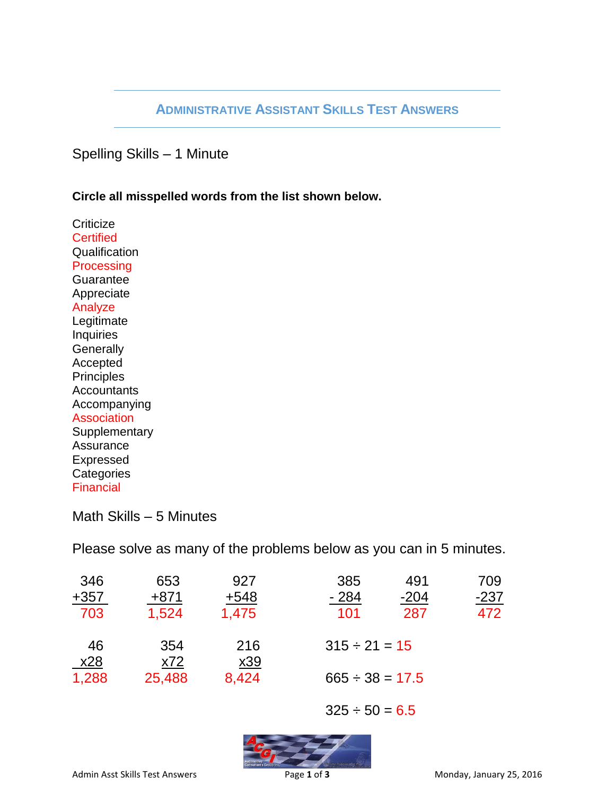## **ADMINISTRATIVE ASSISTANT SKILLS TEST ANSWERS**

Spelling Skills – 1 Minute

**Circle all misspelled words from the list shown below.**

**Criticize Certified Qualification Processing Guarantee** Appreciate Analyze Legitimate Inquiries **Generally** Accepted **Principles Accountants** Accompanying Association **Supplementary** Assurance Expressed **Categories** Financial

Math Skills – 5 Minutes

Please solve as many of the problems below as you can in 5 minutes.

| 346    | 653    | 927        | 385               | 491    | 709    |  |  |
|--------|--------|------------|-------------------|--------|--------|--|--|
| $+357$ | $+871$ | $+548$     | $-284$            | $-204$ | $-237$ |  |  |
| 703    | 1,524  | 1,475      | 101               | 287    | 472    |  |  |
| 46     | 354    | 216        | $315 - 21 = 15$   |        |        |  |  |
| x28    | x72    | <u>x39</u> |                   |        |        |  |  |
| 1,288  | 25,488 | 8,424      | $665 - 38 = 17.5$ |        |        |  |  |
|        |        |            |                   |        |        |  |  |

 $325 - 50 = 6.5$ 

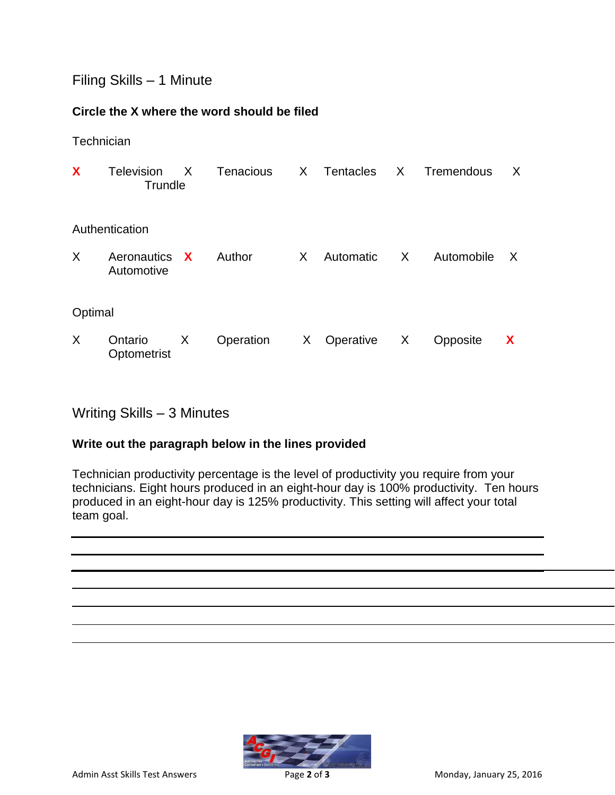## Filing Skills – 1 Minute

### **Circle the X where the word should be filed**

**Technician** 

| X              | Television<br>Trundle       | X | Tenacious | X. | Tentacles | X       | Tremendous | X |  |  |  |
|----------------|-----------------------------|---|-----------|----|-----------|---------|------------|---|--|--|--|
| Authentication |                             |   |           |    |           |         |            |   |  |  |  |
| X              | Aeronautics X<br>Automotive |   | Author    | X  | Automatic | $\sf X$ | Automobile | X |  |  |  |
| Optimal        |                             |   |           |    |           |         |            |   |  |  |  |
| X              | Ontario<br>Optometrist      | X | Operation | X. | Operative | X       | Opposite   | X |  |  |  |

# Writing Skills – 3 Minutes

### **Write out the paragraph below in the lines provided**

Technician productivity percentage is the level of productivity you require from your technicians. Eight hours produced in an eight-hour day is 100% productivity. Ten hours produced in an eight-hour day is 125% productivity. This setting will affect your total team goal.